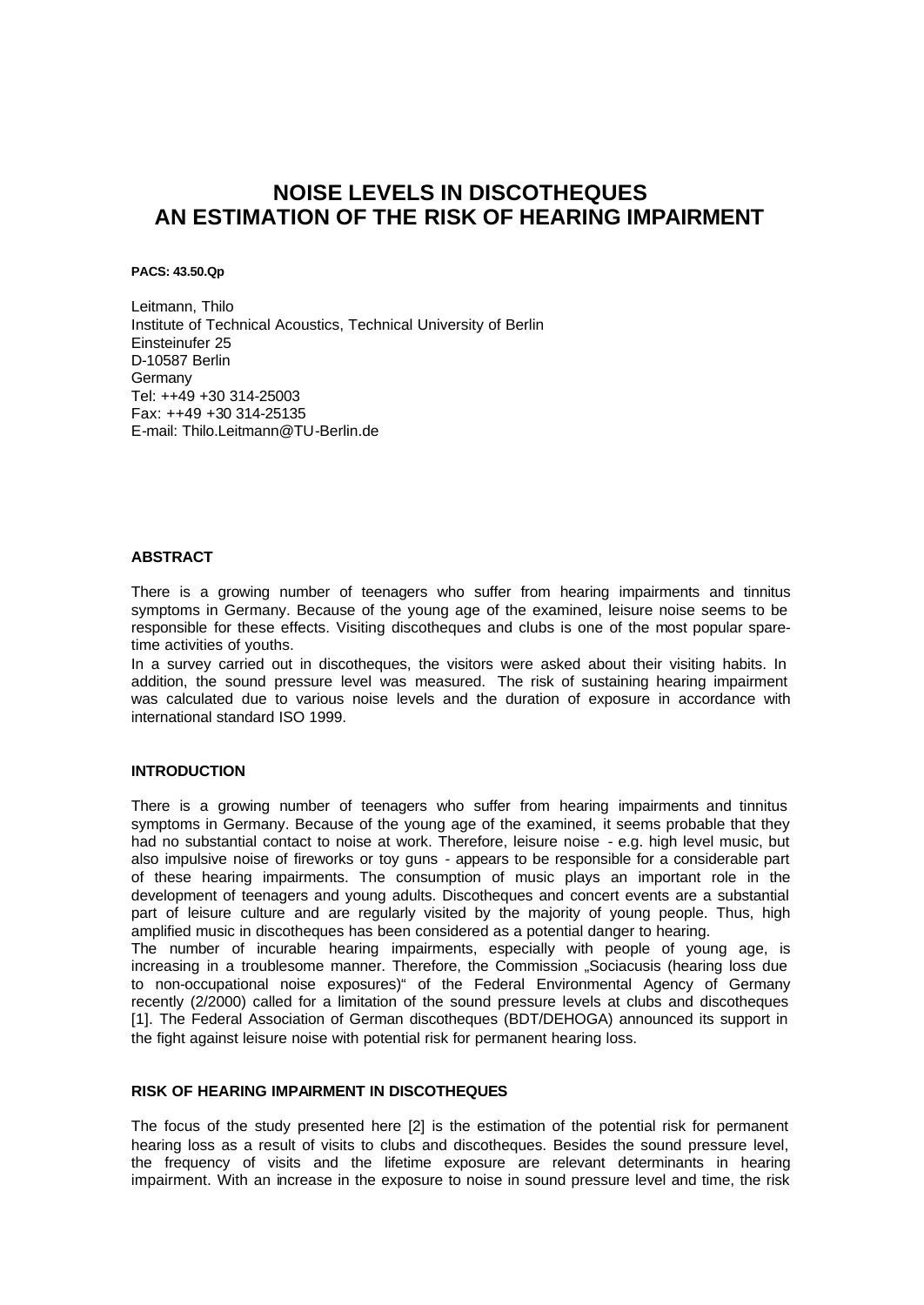## **NOISE LEVELS IN DISCOTHEQUES AN ESTIMATION OF THE RISK OF HEARING IMPAIRMENT**

**PACS: 43.50.Qp**

Leitmann, Thilo Institute of Technical Acoustics, Technical University of Berlin Einsteinufer 25 D-10587 Berlin **Germany** Tel: ++49 +30 314-25003 Fax: ++49 +30 314-25135 E-mail: Thilo.Leitmann@TU-Berlin.de

#### **ABSTRACT**

There is a growing number of teenagers who suffer from hearing impairments and tinnitus symptoms in Germany. Because of the young age of the examined, leisure noise seems to be responsible for these effects. Visiting discotheques and clubs is one of the most popular sparetime activities of youths.

In a survey carried out in discotheques, the visitors were asked about their visiting habits. In addition, the sound pressure level was measured. The risk of sustaining hearing impairment was calculated due to various noise levels and the duration of exposure in accordance with international standard ISO 1999.

### **INTRODUCTION**

There is a growing number of teenagers who suffer from hearing impairments and tinnitus symptoms in Germany. Because of the young age of the examined, it seems probable that they had no substantial contact to noise at work. Therefore, leisure noise - e.g. high level music, but also impulsive noise of fireworks or toy guns - appears to be responsible for a considerable part of these hearing impairments. The consumption of music plays an important role in the development of teenagers and young adults. Discotheques and concert events are a substantial part of leisure culture and are regularly visited by the majority of young people. Thus, high amplified music in discotheques has been considered as a potential danger to hearing.

The number of incurable hearing impairments, especially with people of young age, is increasing in a troublesome manner. Therefore, the Commission "Sociacusis (hearing loss due to non-occupational noise exposures)" of the Federal Environmental Agency of Germany recently (2/2000) called for a limitation of the sound pressure levels at clubs and discotheques [1]. The Federal Association of German discotheques (BDT/DEHOGA) announced its support in the fight against leisure noise with potential risk for permanent hearing loss.

### **RISK OF HEARING IMPAIRMENT IN DISCOTHEQUES**

The focus of the study presented here [2] is the estimation of the potential risk for permanent hearing loss as a result of visits to clubs and discotheques. Besides the sound pressure level, the frequency of visits and the lifetime exposure are relevant determinants in hearing impairment. With an increase in the exposure to noise in sound pressure level and time, the risk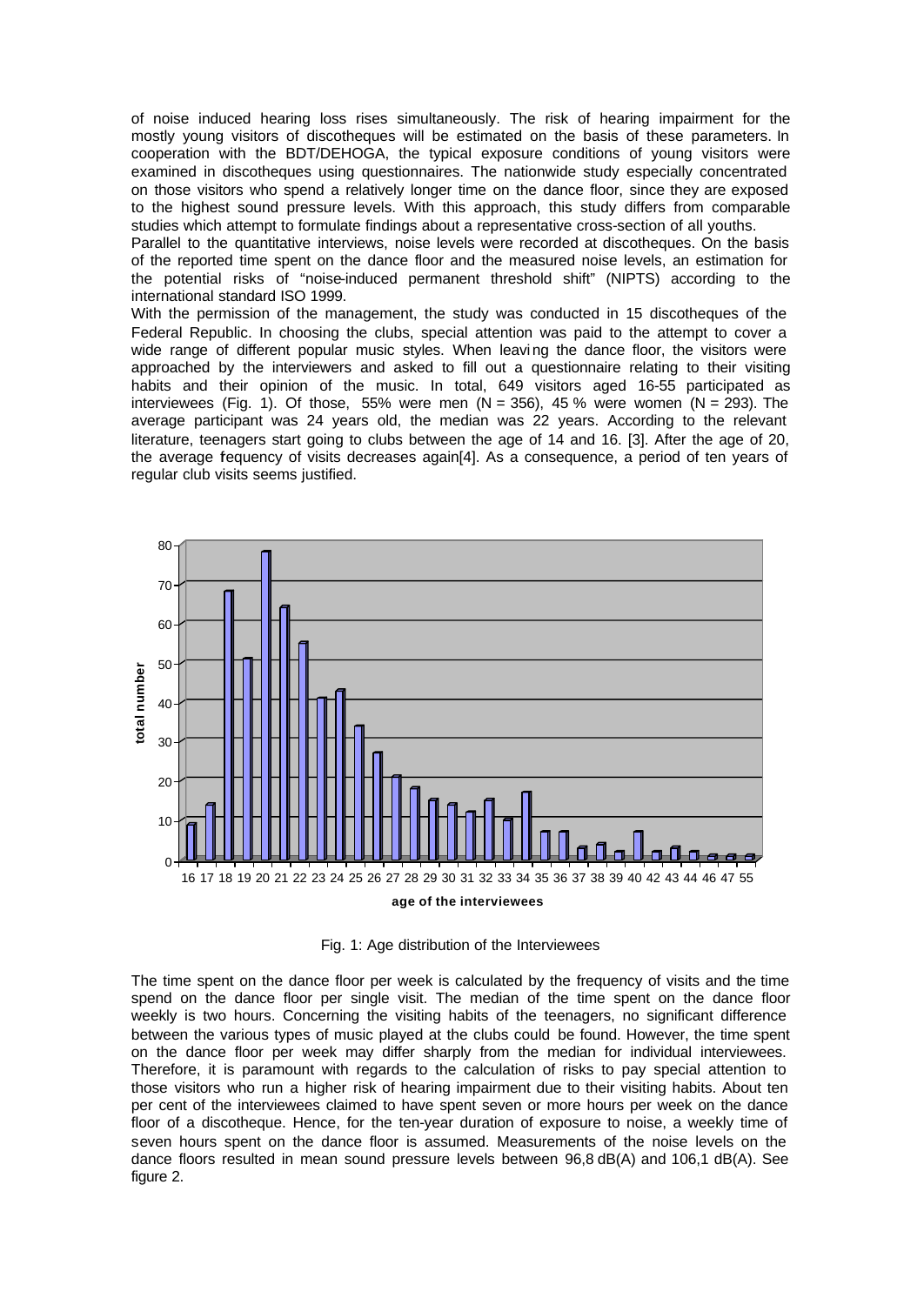of noise induced hearing loss rises simultaneously. The risk of hearing impairment for the mostly young visitors of discotheques will be estimated on the basis of these parameters. In cooperation with the BDT/DEHOGA, the typical exposure conditions of young visitors were examined in discotheques using questionnaires. The nationwide study especially concentrated on those visitors who spend a relatively longer time on the dance floor, since they are exposed to the highest sound pressure levels. With this approach, this study differs from comparable studies which attempt to formulate findings about a representative cross-section of all youths.

Parallel to the quantitative interviews, noise levels were recorded at discotheques. On the basis of the reported time spent on the dance floor and the measured noise levels, an estimation for the potential risks of "noise-induced permanent threshold shift" (NIPTS) according to the international standard ISO 1999.

With the permission of the management, the study was conducted in 15 discotheques of the Federal Republic. In choosing the clubs, special attention was paid to the attempt to cover a wide range of different popular music styles. When leaving the dance floor, the visitors were approached by the interviewers and asked to fill out a questionnaire relating to their visiting habits and their opinion of the music. In total, 649 visitors aged 16-55 participated as interviewees (Fig. 1). Of those, 55% were men  $(N = 356)$ , 45% were women  $(N = 293)$ . The average participant was 24 years old, the median was 22 years. According to the relevant literature, teenagers start going to clubs between the age of 14 and 16. [3]. After the age of 20, the average fequency of visits decreases again[4]. As a consequence, a period of ten years of regular club visits seems justified.



Fig. 1: Age distribution of the Interviewees

The time spent on the dance floor per week is calculated by the frequency of visits and the time spend on the dance floor per single visit. The median of the time spent on the dance floor weekly is two hours. Concerning the visiting habits of the teenagers, no significant difference between the various types of music played at the clubs could be found. However, the time spent on the dance floor per week may differ sharply from the median for individual interviewees. Therefore, it is paramount with regards to the calculation of risks to pay special attention to those visitors who run a higher risk of hearing impairment due to their visiting habits. About ten per cent of the interviewees claimed to have spent seven or more hours per week on the dance floor of a discotheque. Hence, for the ten-year duration of exposure to noise, a weekly time of seven hours spent on the dance floor is assumed. Measurements of the noise levels on the dance floors resulted in mean sound pressure levels between 96,8 dB(A) and 106,1 dB(A). See figure 2.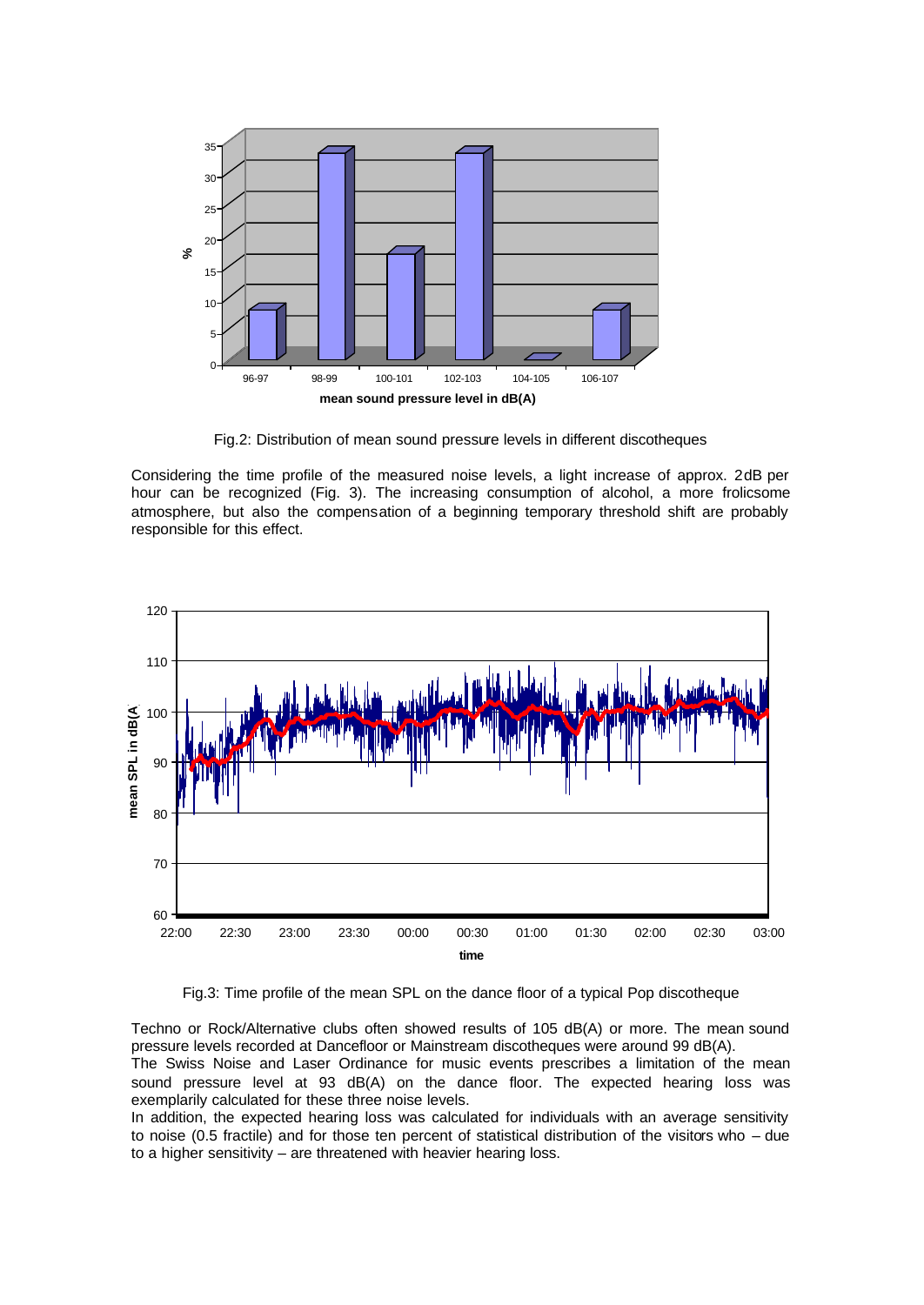

Fig.2: Distribution of mean sound pressure levels in different discotheques

Considering the time profile of the measured noise levels, a light increase of approx. 2dB per hour can be recognized (Fig. 3). The increasing consumption of alcohol, a more frolicsome atmosphere, but also the compensation of a beginning temporary threshold shift are probably responsible for this effect.



Fig.3: Time profile of the mean SPL on the dance floor of a typical Pop discotheque

Techno or Rock/Alternative clubs often showed results of 105 dB(A) or more. The mean sound pressure levels recorded at Dancefloor or Mainstream discotheques were around 99 dB(A). The Swiss Noise and Laser Ordinance for music events prescribes a limitation of the mean

sound pressure level at 93 dB(A) on the dance floor. The expected hearing loss was exemplarily calculated for these three noise levels.

In addition, the expected hearing loss was calculated for individuals with an average sensitivity to noise (0.5 fractile) and for those ten percent of statistical distribution of the visitors who – due to a higher sensitivity – are threatened with heavier hearing loss.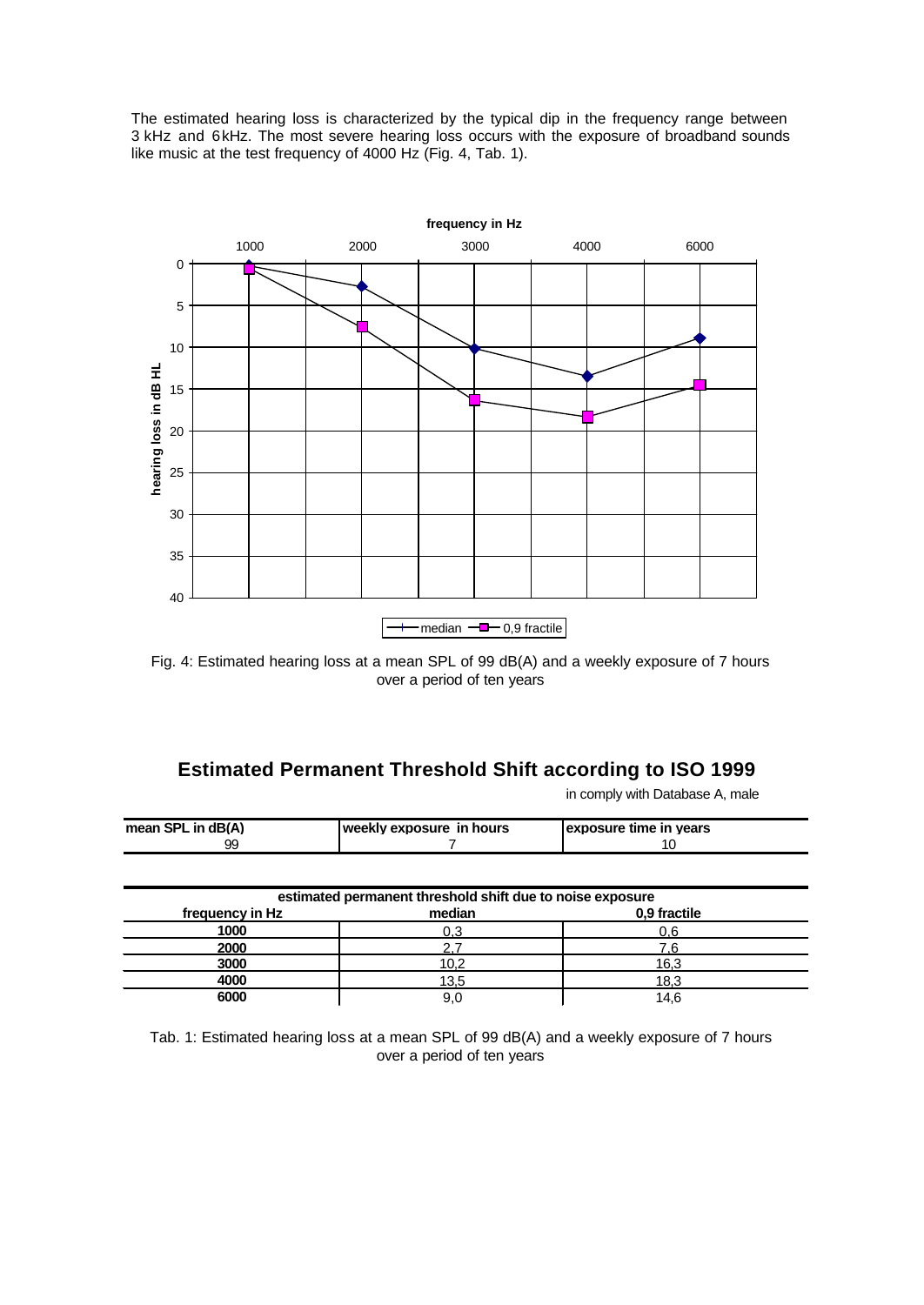The estimated hearing loss is characterized by the typical dip in the frequency range between 3 kHz and 6kHz. The most severe hearing loss occurs with the exposure of broadband sounds like music at the test frequency of 4000 Hz (Fig. 4, Tab. 1).



Fig. 4: Estimated hearing loss at a mean SPL of 99 dB(A) and a weekly exposure of 7 hours over a period of ten years

# **Estimated Permanent Threshold Shift according to ISO 1999**

in comply with Database A, male

| mean SPL in dB(A) | Iweekly exposure in hours | <b>Lexposure time in vears</b> |
|-------------------|---------------------------|--------------------------------|
| 99                |                           |                                |

| estimated permanent threshold shift due to noise exposure |        |              |  |  |
|-----------------------------------------------------------|--------|--------------|--|--|
| frequency in Hz                                           | median | 0,9 fractile |  |  |
| 1000                                                      | 0.3    |              |  |  |
| 2000                                                      |        | c            |  |  |
| 3000                                                      | 10.2   | 16,3         |  |  |
| 4000                                                      | 13,5   | 18.3         |  |  |
| 6000                                                      | 9.0    | 14.6         |  |  |

Tab. 1: Estimated hearing loss at a mean SPL of 99 dB(A) and a weekly exposure of 7 hours over a period of ten years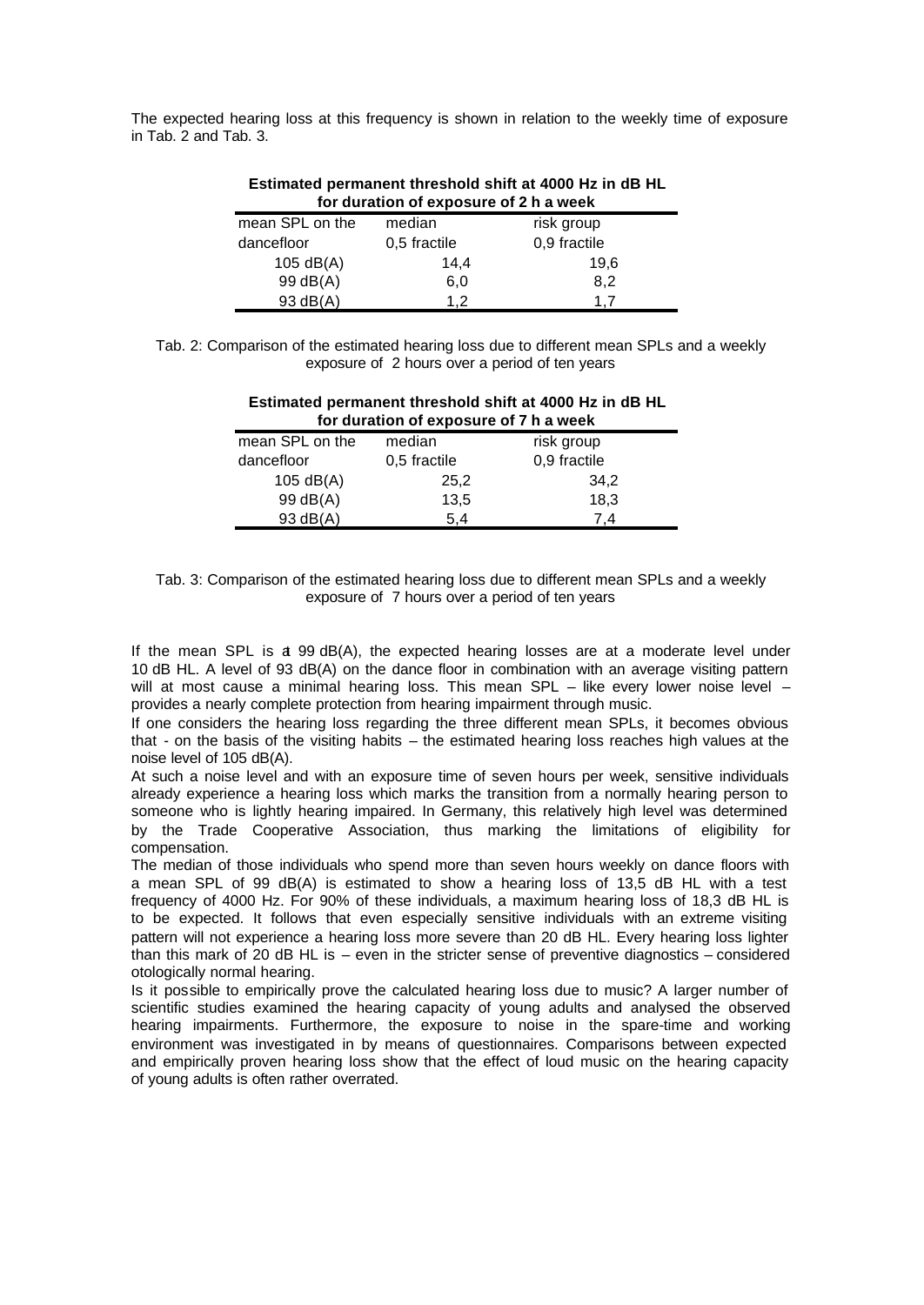The expected hearing loss at this frequency is shown in relation to the weekly time of exposure in Tab. 2 and Tab. 3.

| for duration of exposure of 2 h a week |              |              |  |  |
|----------------------------------------|--------------|--------------|--|--|
| mean SPL on the                        | median       | risk group   |  |  |
| dancefloor                             | 0,5 fractile | 0,9 fractile |  |  |
| 105 $dB(A)$                            | 14,4         | 19,6         |  |  |
| 99 dB(A)                               | 6,0          | 8,2          |  |  |
| 93 dB(A)                               | 12           | 17           |  |  |

# **Estimated permanent threshold shift at 4000 Hz in dB HL**

Tab. 2: Comparison of the estimated hearing loss due to different mean SPLs and a weekly exposure of 2 hours over a period of ten years

| Estimated permanent threshold shift at 4000 Hz in dB HL<br>for duration of exposure of 7 h a week |              |              |  |  |
|---------------------------------------------------------------------------------------------------|--------------|--------------|--|--|
| mean SPL on the                                                                                   | median       | risk group   |  |  |
| dancefloor                                                                                        | 0,5 fractile | 0,9 fractile |  |  |
| 105 $dB(A)$                                                                                       | 25,2         | 34.2         |  |  |
| 99 dB(A)                                                                                          | 13,5         | 18,3         |  |  |
| 93 dB(A)                                                                                          | 5.4          | 7.4          |  |  |

Tab. 3: Comparison of the estimated hearing loss due to different mean SPLs and a weekly exposure of 7 hours over a period of ten years

If the mean SPL is at 99 dB(A), the expected hearing losses are at a moderate level under 10 dB HL. A level of 93 dB(A) on the dance floor in combination with an average visiting pattern will at most cause a minimal hearing loss. This mean SPL – like every lower noise level – provides a nearly complete protection from hearing impairment through music.

If one considers the hearing loss regarding the three different mean SPLs, it becomes obvious that - on the basis of the visiting habits – the estimated hearing loss reaches high values at the noise level of 105 dB(A).

At such a noise level and with an exposure time of seven hours per week, sensitive individuals already experience a hearing loss which marks the transition from a normally hearing person to someone who is lightly hearing impaired. In Germany, this relatively high level was determined by the Trade Cooperative Association, thus marking the limitations of eligibility for compensation.

The median of those individuals who spend more than seven hours weekly on dance floors with a mean SPL of 99 dB(A) is estimated to show a hearing loss of 13,5 dB HL with a test frequency of 4000 Hz. For 90% of these individuals, a maximum hearing loss of 18,3 dB HL is to be expected. It follows that even especially sensitive individuals with an extreme visiting pattern will not experience a hearing loss more severe than 20 dB HL. Every hearing loss lighter than this mark of 20 dB HL is – even in the stricter sense of preventive diagnostics – considered otologically normal hearing.

Is it possible to empirically prove the calculated hearing loss due to music? A larger number of scientific studies examined the hearing capacity of young adults and analysed the observed hearing impairments. Furthermore, the exposure to noise in the spare-time and working environment was investigated in by means of questionnaires. Comparisons between expected and empirically proven hearing loss show that the effect of loud music on the hearing capacity of young adults is often rather overrated.